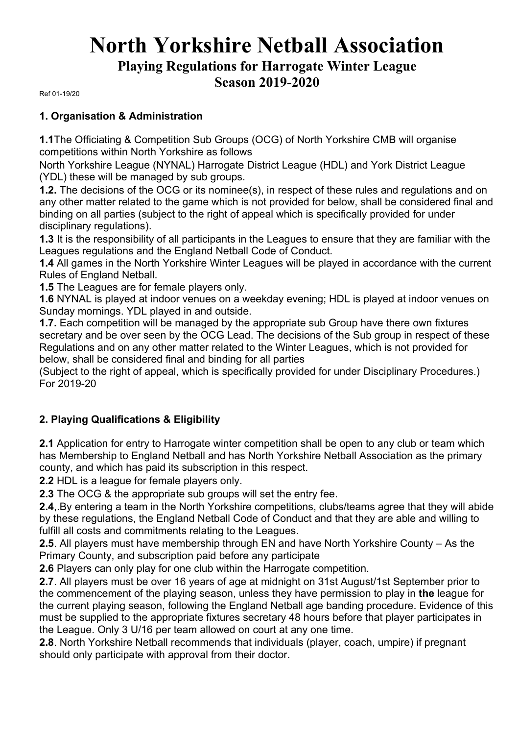# **North Yorkshire Netball Association Playing Regulations for Harrogate Winter League Season 2019-2020**

Ref 01-19/20

#### **1. Organisation & Administration**

**1.1**The Officiating & Competition Sub Groups (OCG) of North Yorkshire CMB will organise competitions within North Yorkshire as follows

North Yorkshire League (NYNAL) Harrogate District League (HDL) and York District League (YDL) these will be managed by sub groups.

**1.2.** The decisions of the OCG or its nominee(s), in respect of these rules and regulations and on any other matter related to the game which is not provided for below, shall be considered final and binding on all parties (subject to the right of appeal which is specifically provided for under disciplinary regulations).

**1.3** It is the responsibility of all participants in the Leagues to ensure that they are familiar with the Leagues regulations and the England Netball Code of Conduct.

**1.4** All games in the North Yorkshire Winter Leagues will be played in accordance with the current Rules of England Netball.

**1.5** The Leagues are for female players only.

**1.6** NYNAL is played at indoor venues on a weekday evening; HDL is played at indoor venues on Sunday mornings. YDL played in and outside.

**1.7.** Each competition will be managed by the appropriate sub Group have there own fixtures secretary and be over seen by the OCG Lead. The decisions of the Sub group in respect of these Regulations and on any other matter related to the Winter Leagues, which is not provided for below, shall be considered final and binding for all parties

(Subject to the right of appeal, which is specifically provided for under Disciplinary Procedures.) For 2019-20

### **2. Playing Qualifications & Eligibility**

**2.1** Application for entry to Harrogate winter competition shall be open to any club or team which has Membership to England Netball and has North Yorkshire Netball Association as the primary county, and which has paid its subscription in this respect.

**2.2** HDL is a league for female players only.

**2.3** The OCG & the appropriate sub groups will set the entry fee.

**2.4**,.By entering a team in the North Yorkshire competitions, clubs/teams agree that they will abide by these regulations, the England Netball Code of Conduct and that they are able and willing to fulfill all costs and commitments relating to the Leagues.

**2.5**. All players must have membership through EN and have North Yorkshire County – As the Primary County, and subscription paid before any participate

**2.6** Players can only play for one club within the Harrogate competition.

**2.7**. All players must be over 16 years of age at midnight on 31st August/1st September prior to the commencement of the playing season, unless they have permission to play in **the** league for the current playing season, following the England Netball age banding procedure. Evidence of this must be supplied to the appropriate fixtures secretary 48 hours before that player participates in the League. Only 3 U/16 per team allowed on court at any one time.

**2.8**. North Yorkshire Netball recommends that individuals (player, coach, umpire) if pregnant should only participate with approval from their doctor.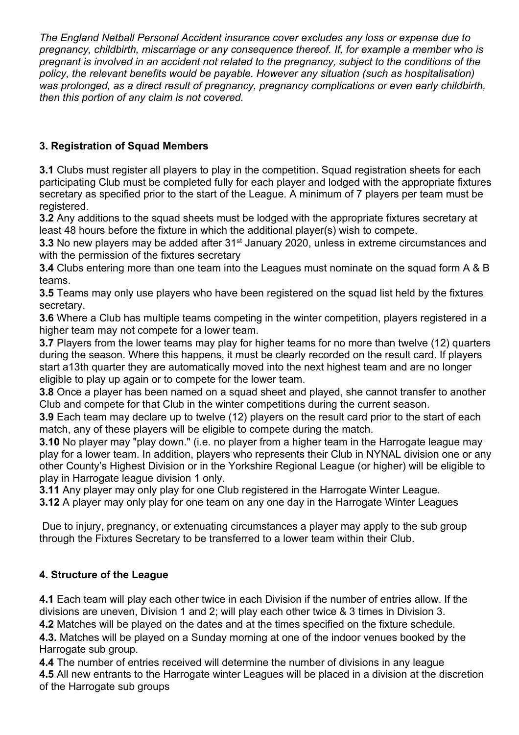*The England Netball Personal Accident insurance cover excludes any loss or expense due to pregnancy, childbirth, miscarriage or any consequence thereof. If, for example a member who is pregnant is involved in an accident not related to the pregnancy, subject to the conditions of the policy, the relevant benefits would be payable. However any situation (such as hospitalisation) was prolonged, as a direct result of pregnancy, pregnancy complications or even early childbirth, then this portion of any claim is not covered.*

# **3. Registration of Squad Members**

**3.1** Clubs must register all players to play in the competition. Squad registration sheets for each participating Club must be completed fully for each player and lodged with the appropriate fixtures secretary as specified prior to the start of the League. A minimum of 7 players per team must be registered.

**3.2** Any additions to the squad sheets must be lodged with the appropriate fixtures secretary at least 48 hours before the fixture in which the additional player(s) wish to compete.

**3.3** No new players may be added after 31<sup>st</sup> January 2020, unless in extreme circumstances and with the permission of the fixtures secretary

**3.4** Clubs entering more than one team into the Leagues must nominate on the squad form A & B teams.

**3.5** Teams may only use players who have been registered on the squad list held by the fixtures secretary.

**3.6** Where a Club has multiple teams competing in the winter competition, players registered in a higher team may not compete for a lower team.

**3.7** Players from the lower teams may play for higher teams for no more than twelve (12) quarters during the season. Where this happens, it must be clearly recorded on the result card. If players start a13th quarter they are automatically moved into the next highest team and are no longer eligible to play up again or to compete for the lower team.

**3.8** Once a player has been named on a squad sheet and played, she cannot transfer to another Club and compete for that Club in the winter competitions during the current season.

**3.9** Each team may declare up to twelve (12) players on the result card prior to the start of each match, any of these players will be eligible to compete during the match.

**3.10** No player may "play down." (i.e. no player from a higher team in the Harrogate league may play for a lower team. In addition, players who represents their Club in NYNAL division one or any other County's Highest Division or in the Yorkshire Regional League (or higher) will be eligible to play in Harrogate league division 1 only.

**3.11** Any player may only play for one Club registered in the Harrogate Winter League.

**3.12** A player may only play for one team on any one day in the Harrogate Winter Leagues

Due to injury, pregnancy, or extenuating circumstances a player may apply to the sub group through the Fixtures Secretary to be transferred to a lower team within their Club.

# **4. Structure of the League**

**4.1** Each team will play each other twice in each Division if the number of entries allow. If the divisions are uneven, Division 1 and 2; will play each other twice & 3 times in Division 3.

**4.2** Matches will be played on the dates and at the times specified on the fixture schedule. **4.3.** Matches will be played on a Sunday morning at one of the indoor venues booked by the Harrogate sub group.

**4.4** The number of entries received will determine the number of divisions in any league **4.5** All new entrants to the Harrogate winter Leagues will be placed in a division at the discretion of the Harrogate sub groups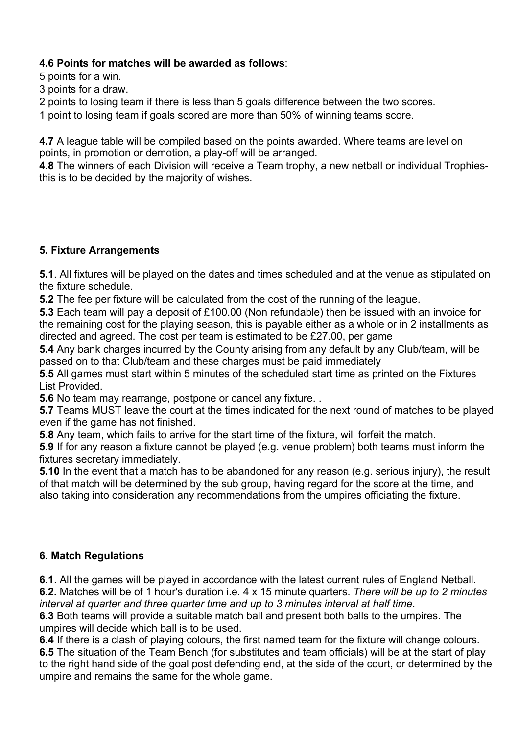## **4.6 Points for matches will be awarded as follows**:

5 points for a win.

- 3 points for a draw.
- 2 points to losing team if there is less than 5 goals difference between the two scores.
- 1 point to losing team if goals scored are more than 50% of winning teams score.

**4.7** A league table will be compiled based on the points awarded. Where teams are level on points, in promotion or demotion, a play-off will be arranged.

**4.8** The winners of each Division will receive a Team trophy, a new netball or individual Trophiesthis is to be decided by the majority of wishes.

# **5. Fixture Arrangements**

**5.1**. All fixtures will be played on the dates and times scheduled and at the venue as stipulated on the fixture schedule.

**5.2** The fee per fixture will be calculated from the cost of the running of the league.

**5.3** Each team will pay a deposit of £100.00 (Non refundable) then be issued with an invoice for the remaining cost for the playing season, this is payable either as a whole or in 2 installments as directed and agreed. The cost per team is estimated to be £27.00, per game

**5.4** Any bank charges incurred by the County arising from any default by any Club/team, will be passed on to that Club/team and these charges must be paid immediately

**5.5** All games must start within 5 minutes of the scheduled start time as printed on the Fixtures List Provided.

**5.6** No team may rearrange, postpone or cancel any fixture. .

**5.7** Teams MUST leave the court at the times indicated for the next round of matches to be played even if the game has not finished.

**5.8** Any team, which fails to arrive for the start time of the fixture, will forfeit the match.

**5.9** If for any reason a fixture cannot be played (e.g. venue problem) both teams must inform the fixtures secretary immediately.

**5.10** In the event that a match has to be abandoned for any reason (e.g. serious injury), the result of that match will be determined by the sub group, having regard for the score at the time, and also taking into consideration any recommendations from the umpires officiating the fixture.

# **6. Match Regulations**

**6.1**. All the games will be played in accordance with the latest current rules of England Netball. **6.2.** Matches will be of 1 hour's duration i.e. 4 x 15 minute quarters. *There will be up to 2 minutes interval at quarter and three quarter time and up to 3 minutes interval at half time*.

**6.3** Both teams will provide a suitable match ball and present both balls to the umpires. The umpires will decide which ball is to be used.

**6.4** If there is a clash of playing colours, the first named team for the fixture will change colours. **6.5** The situation of the Team Bench (for substitutes and team officials) will be at the start of play to the right hand side of the goal post defending end, at the side of the court, or determined by the umpire and remains the same for the whole game.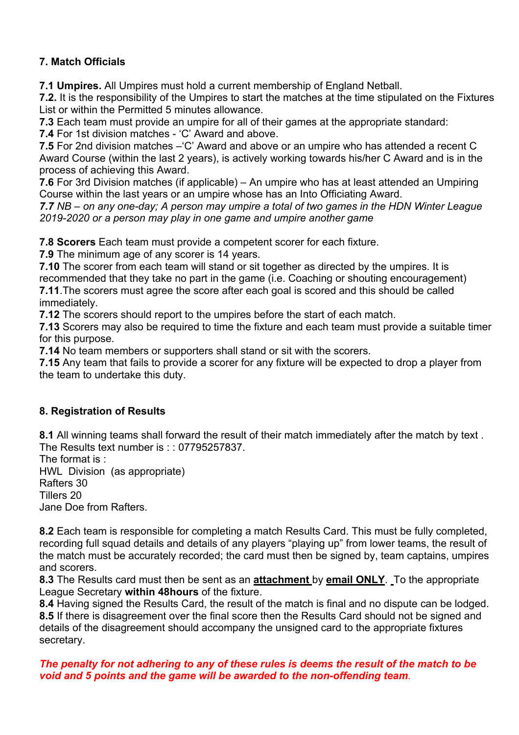# **7. Match Officials**

**7.1 Umpires.** All Umpires must hold a current membership of England Netball.

**7.2.** It is the responsibility of the Umpires to start the matches at the time stipulated on the Fixtures List or within the Permitted 5 minutes allowance.

**7.3** Each team must provide an umpire for all of their games at the appropriate standard:

**7.4** For 1st division matches - 'C' Award and above.

**7.5** For 2nd division matches –'C' Award and above or an umpire who has attended a recent C Award Course (within the last 2 years), is actively working towards his/her C Award and is in the process of achieving this Award.

**7.6** For 3rd Division matches (if applicable) – An umpire who has at least attended an Umpiring Course within the last years or an umpire whose has an Into Officiating Award.

*7.7 NB – on any one-day; A person may umpire a total of two games in the HDN Winter League 2019-2020 or a person may play in one game and umpire another game*

**7.8 Scorers** Each team must provide a competent scorer for each fixture.

**7.9** The minimum age of any scorer is 14 years.

**7.10** The scorer from each team will stand or sit together as directed by the umpires. It is recommended that they take no part in the game (i.e. Coaching or shouting encouragement) **7.11**.The scorers must agree the score after each goal is scored and this should be called immediately.

**7.12** The scorers should report to the umpires before the start of each match.

**7.13** Scorers may also be required to time the fixture and each team must provide a suitable timer for this purpose.

**7.14** No team members or supporters shall stand or sit with the scorers.

**7.15** Any team that fails to provide a scorer for any fixture will be expected to drop a player from the team to undertake this duty.

### **8. Registration of Results**

**8.1** All winning teams shall forward the result of their match immediately after the match by text . The Results text number is :: 07795257837.

The format is : HWL Division (as appropriate) Rafters 30 Tillers 20 Jane Doe from Rafters.

**8.2** Each team is responsible for completing a match Results Card. This must be fully completed, recording full squad details and details of any players "playing up" from lower teams, the result of the match must be accurately recorded; the card must then be signed by, team captains, umpires and scorers.

**8.3** The Results card must then be sent as an **attachment** by **email ONLY**. To the appropriate League Secretary **within 48hours** of the fixture.

**8.4** Having signed the Results Card, the result of the match is final and no dispute can be lodged. **8.5** If there is disagreement over the final score then the Results Card should not be signed and details of the disagreement should accompany the unsigned card to the appropriate fixtures secretary.

#### *The penalty for not adhering to any of these rules is deems the result of the match to be void and 5 points and the game will be awarded to the non-offending team.*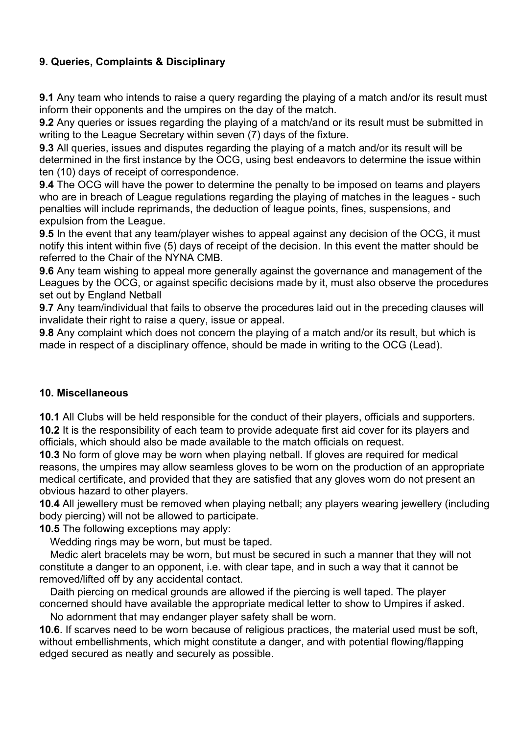# **9. Queries, Complaints & Disciplinary**

**9.1** Any team who intends to raise a query regarding the playing of a match and/or its result must inform their opponents and the umpires on the day of the match.

**9.2** Any queries or issues regarding the playing of a match/and or its result must be submitted in writing to the League Secretary within seven (7) days of the fixture.

**9.3** All queries, issues and disputes regarding the playing of a match and/or its result will be determined in the first instance by the OCG, using best endeavors to determine the issue within ten (10) days of receipt of correspondence.

**9.4** The OCG will have the power to determine the penalty to be imposed on teams and players who are in breach of League regulations regarding the playing of matches in the leagues - such penalties will include reprimands, the deduction of league points, fines, suspensions, and expulsion from the League.

**9.5** In the event that any team/player wishes to appeal against any decision of the OCG, it must notify this intent within five (5) days of receipt of the decision. In this event the matter should be referred to the Chair of the NYNA CMB.

**9.6** Any team wishing to appeal more generally against the governance and management of the Leagues by the OCG, or against specific decisions made by it, must also observe the procedures set out by England Netball

**9.7** Any team/individual that fails to observe the procedures laid out in the preceding clauses will invalidate their right to raise a query, issue or appeal.

**9.8** Any complaint which does not concern the playing of a match and/or its result, but which is made in respect of a disciplinary offence, should be made in writing to the OCG (Lead).

### **10. Miscellaneous**

**10.1** All Clubs will be held responsible for the conduct of their players, officials and supporters. **10.2** It is the responsibility of each team to provide adequate first aid cover for its players and officials, which should also be made available to the match officials on request.

**10.3** No form of glove may be worn when playing netball. If gloves are required for medical reasons, the umpires may allow seamless gloves to be worn on the production of an appropriate medical certificate, and provided that they are satisfied that any gloves worn do not present an obvious hazard to other players.

**10.4** All jewellery must be removed when playing netball; any players wearing jewellery (including body piercing) will not be allowed to participate.

**10.5** The following exceptions may apply:

Wedding rings may be worn, but must be taped.

 Medic alert bracelets may be worn, but must be secured in such a manner that they will not constitute a danger to an opponent, i.e. with clear tape, and in such a way that it cannot be removed/lifted off by any accidental contact.

 Daith piercing on medical grounds are allowed if the piercing is well taped. The player concerned should have available the appropriate medical letter to show to Umpires if asked.

No adornment that may endanger player safety shall be worn.

**10.6**. If scarves need to be worn because of religious practices, the material used must be soft, without embellishments, which might constitute a danger, and with potential flowing/flapping edged secured as neatly and securely as possible.